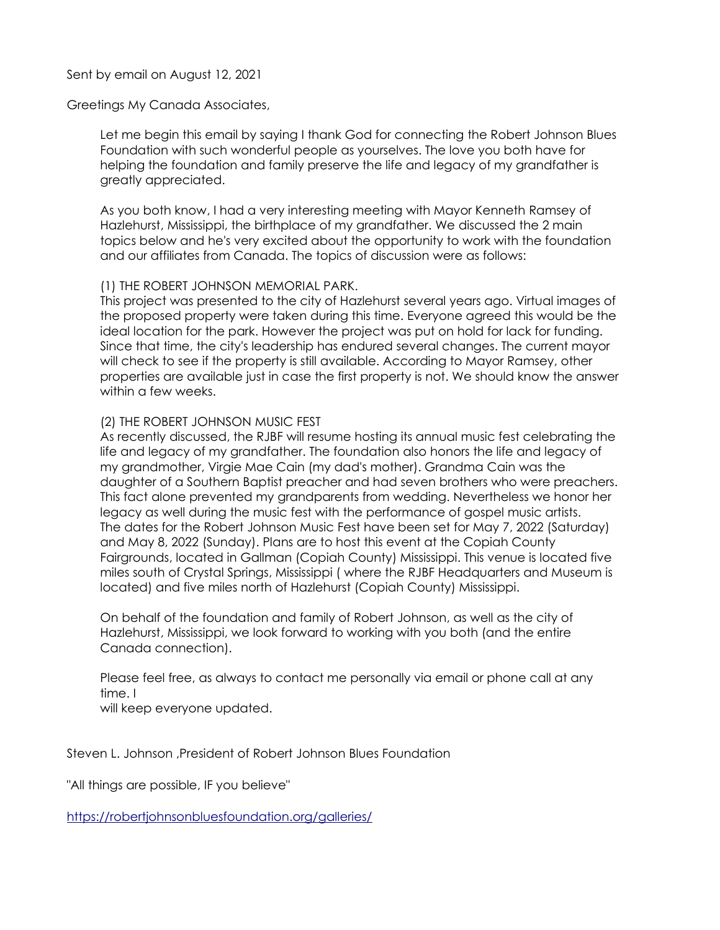## Sent by email on August 12, 2021

## Greetings My Canada Associates,

Let me begin this email by saying I thank God for connecting the Robert Johnson Blues Foundation with such wonderful people as yourselves. The love you both have for helping the foundation and family preserve the life and legacy of my grandfather is greatly appreciated.

As you both know, I had a very interesting meeting with Mayor Kenneth Ramsey of Hazlehurst, Mississippi, the birthplace of my grandfather. We discussed the 2 main topics below and he's very excited about the opportunity to work with the foundation and our affiliates from Canada. The topics of discussion were as follows:

## (1) THE ROBERT JOHNSON MEMORIAL PARK.

This project was presented to the city of Hazlehurst several years ago. Virtual images of the proposed property were taken during this time. Everyone agreed this would be the ideal location for the park. However the project was put on hold for lack for funding. Since that time, the city's leadership has endured several changes. The current mayor will check to see if the property is still available. According to Mayor Ramsey, other properties are available just in case the first property is not. We should know the answer within a few weeks.

## (2) THE ROBERT JOHNSON MUSIC FEST

As recently discussed, the RJBF will resume hosting its annual music fest celebrating the life and legacy of my grandfather. The foundation also honors the life and legacy of my grandmother, Virgie Mae Cain (my dad's mother). Grandma Cain was the daughter of a Southern Baptist preacher and had seven brothers who were preachers. This fact alone prevented my grandparents from wedding. Nevertheless we honor her legacy as well during the music fest with the performance of gospel music artists. The dates for the Robert Johnson Music Fest have been set for May 7, 2022 (Saturday) and May 8, 2022 (Sunday). Plans are to host this event at the Copiah County Fairgrounds, located in Gallman (Copiah County) Mississippi. This venue is located five miles south of Crystal Springs, Mississippi ( where the RJBF Headquarters and Museum is located) and five miles north of Hazlehurst (Copiah County) Mississippi.

On behalf of the foundation and family of Robert Johnson, as well as the city of Hazlehurst, Mississippi, we look forward to working with you both (and the entire Canada connection).

Please feel free, as always to contact me personally via email or phone call at any time. I

will keep everyone updated.

Steven L. Johnson ,President of Robert Johnson Blues Foundation

"All things are possible, IF you believe"

<https://robertjohnsonbluesfoundation.org/galleries/>